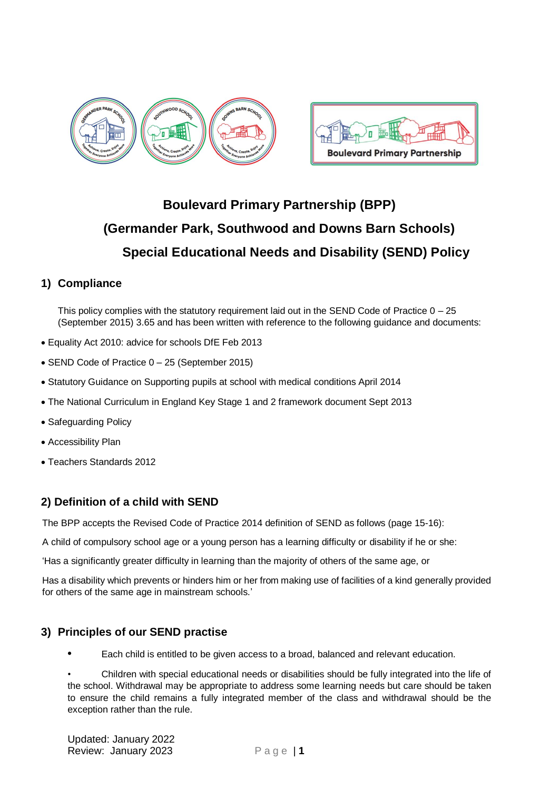



# **Boulevard Primary Partnership (BPP) (Germander Park, Southwood and Downs Barn Schools) Special Educational Needs and Disability (SEND) Policy**

# **1) Compliance**

This policy complies with the statutory requirement laid out in the SEND Code of Practice  $0 - 25$ (September 2015) 3.65 and has been written with reference to the following guidance and documents:

- Equality Act 2010: advice for schools DfE Feb 2013
- SEND Code of Practice 0 25 (September 2015)
- Statutory Guidance on Supporting pupils at school with medical conditions April 2014
- The National Curriculum in England Key Stage 1 and 2 framework document Sept 2013
- Safeguarding Policy
- Accessibility Plan
- Teachers Standards 2012

# **2) Definition of a child with SEND**

The BPP accepts the Revised Code of Practice 2014 definition of SEND as follows (page 15-16):

A child of compulsory school age or a young person has a learning difficulty or disability if he or she:

'Has a significantly greater difficulty in learning than the majority of others of the same age, or

Has a disability which prevents or hinders him or her from making use of facilities of a kind generally provided for others of the same age in mainstream schools.'

### **3) Principles of our SEND practise**

**•** Each child is entitled to be given access to a broad, balanced and relevant education.

• Children with special educational needs or disabilities should be fully integrated into the life of the school. Withdrawal may be appropriate to address some learning needs but care should be taken to ensure the child remains a fully integrated member of the class and withdrawal should be the exception rather than the rule.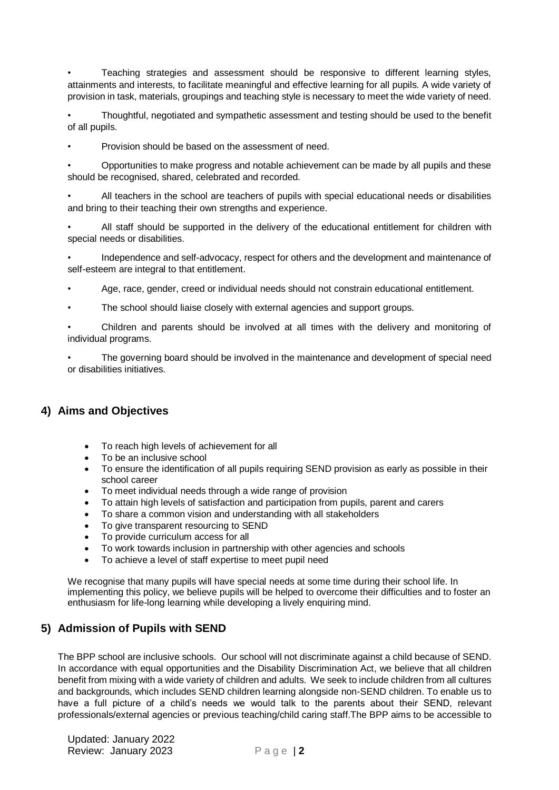• Teaching strategies and assessment should be responsive to different learning styles, attainments and interests, to facilitate meaningful and effective learning for all pupils. A wide variety of provision in task, materials, groupings and teaching style is necessary to meet the wide variety of need.

• Thoughtful, negotiated and sympathetic assessment and testing should be used to the benefit of all pupils.

• Provision should be based on the assessment of need.

• Opportunities to make progress and notable achievement can be made by all pupils and these should be recognised, shared, celebrated and recorded.

• All teachers in the school are teachers of pupils with special educational needs or disabilities and bring to their teaching their own strengths and experience.

• All staff should be supported in the delivery of the educational entitlement for children with special needs or disabilities.

• Independence and self-advocacy, respect for others and the development and maintenance of self-esteem are integral to that entitlement.

- Age, race, gender, creed or individual needs should not constrain educational entitlement.
- The school should liaise closely with external agencies and support groups.

• Children and parents should be involved at all times with the delivery and monitoring of individual programs.

• The governing board should be involved in the maintenance and development of special need or disabilities initiatives.

### **4) Aims and Objectives**

- To reach high levels of achievement for all
- To be an inclusive school
- To ensure the identification of all pupils requiring SEND provision as early as possible in their school career
- To meet individual needs through a wide range of provision
- To attain high levels of satisfaction and participation from pupils, parent and carers
- To share a common vision and understanding with all stakeholders
- To give transparent resourcing to SEND
- To provide curriculum access for all
- To work towards inclusion in partnership with other agencies and schools
- To achieve a level of staff expertise to meet pupil need

We recognise that many pupils will have special needs at some time during their school life. In implementing this policy, we believe pupils will be helped to overcome their difficulties and to foster an enthusiasm for life-long learning while developing a lively enquiring mind.

### **5) Admission of Pupils with SEND**

The BPP school are inclusive schools. Our school will not discriminate against a child because of SEND. In accordance with equal opportunities and the Disability Discrimination Act, we believe that all children benefit from mixing with a wide variety of children and adults. We seek to include children from all cultures and backgrounds, which includes SEND children learning alongside non-SEND children. To enable us to have a full picture of a child's needs we would talk to the parents about their SEND, relevant professionals/external agencies or previous teaching/child caring staff.The BPP aims to be accessible to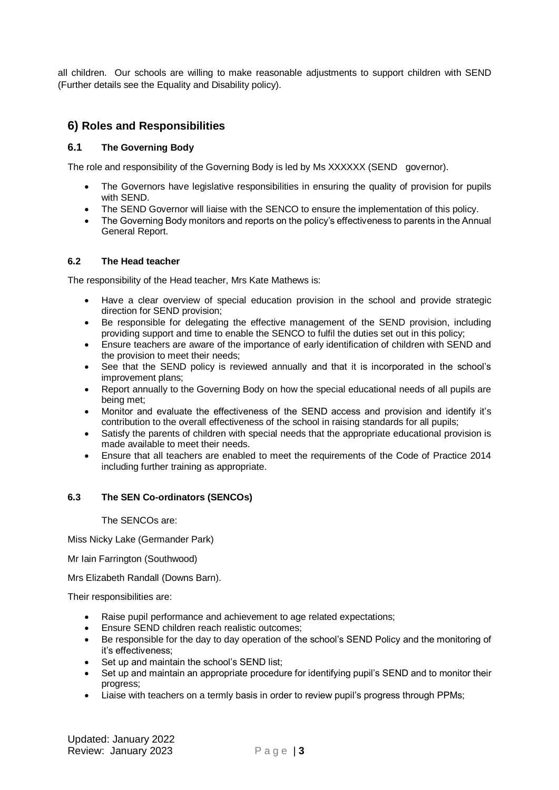all children. Our schools are willing to make reasonable adjustments to support children with SEND (Further details see the Equality and Disability policy).

## **6) Roles and Responsibilities**

### **6.1 The Governing Body**

The role and responsibility of the Governing Body is led by Ms XXXXXX (SEND governor).

- The Governors have legislative responsibilities in ensuring the quality of provision for pupils with SEND.
- The SEND Governor will liaise with the SENCO to ensure the implementation of this policy.
- The Governing Body monitors and reports on the policy's effectiveness to parents in the Annual General Report.

### **6.2 The Head teacher**

The responsibility of the Head teacher, Mrs Kate Mathews is:

- Have a clear overview of special education provision in the school and provide strategic direction for SEND provision;
- Be responsible for delegating the effective management of the SEND provision, including providing support and time to enable the SENCO to fulfil the duties set out in this policy;
- Ensure teachers are aware of the importance of early identification of children with SEND and the provision to meet their needs;
- See that the SEND policy is reviewed annually and that it is incorporated in the school's improvement plans;
- Report annually to the Governing Body on how the special educational needs of all pupils are being met;
- Monitor and evaluate the effectiveness of the SEND access and provision and identify it's contribution to the overall effectiveness of the school in raising standards for all pupils;
- Satisfy the parents of children with special needs that the appropriate educational provision is made available to meet their needs.
- Ensure that all teachers are enabled to meet the requirements of the Code of Practice 2014 including further training as appropriate.

### **6.3 The SEN Co-ordinators (SENCOs)**

The SENCOs are:

Miss Nicky Lake (Germander Park)

Mr Iain Farrington (Southwood)

Mrs Elizabeth Randall (Downs Barn).

Their responsibilities are:

- Raise pupil performance and achievement to age related expectations;
- Ensure SEND children reach realistic outcomes;
- Be responsible for the day to day operation of the school's SEND Policy and the monitoring of it's effectiveness;
- Set up and maintain the school's SEND list;
- Set up and maintain an appropriate procedure for identifying pupil's SEND and to monitor their progress;
- Liaise with teachers on a termly basis in order to review pupil's progress through PPMs;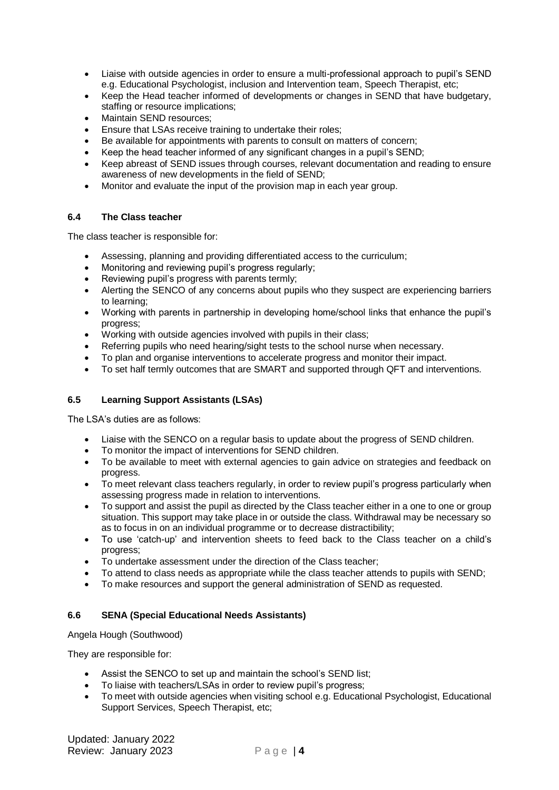- Liaise with outside agencies in order to ensure a multi-professional approach to pupil's SEND e.g. Educational Psychologist, inclusion and Intervention team, Speech Therapist, etc;
- Keep the Head teacher informed of developments or changes in SEND that have budgetary, staffing or resource implications;
- Maintain SEND resources;
- Ensure that LSAs receive training to undertake their roles;
- Be available for appointments with parents to consult on matters of concern;
- Keep the head teacher informed of any significant changes in a pupil's SEND;
- Keep abreast of SEND issues through courses, relevant documentation and reading to ensure awareness of new developments in the field of SEND;
- Monitor and evaluate the input of the provision map in each year group.

### **6.4 The Class teacher**

The class teacher is responsible for:

- Assessing, planning and providing differentiated access to the curriculum;
- Monitoring and reviewing pupil's progress regularly;
- Reviewing pupil's progress with parents termly;
- Alerting the SENCO of any concerns about pupils who they suspect are experiencing barriers to learning;
- Working with parents in partnership in developing home/school links that enhance the pupil's progress;
- Working with outside agencies involved with pupils in their class;
- Referring pupils who need hearing/sight tests to the school nurse when necessary.
- To plan and organise interventions to accelerate progress and monitor their impact.
- To set half termly outcomes that are SMART and supported through QFT and interventions.

### **6.5 Learning Support Assistants (LSAs)**

The LSA's duties are as follows:

- Liaise with the SENCO on a regular basis to update about the progress of SEND children.
- To monitor the impact of interventions for SEND children.
- To be available to meet with external agencies to gain advice on strategies and feedback on progress.
- To meet relevant class teachers regularly, in order to review pupil's progress particularly when assessing progress made in relation to interventions.
- To support and assist the pupil as directed by the Class teacher either in a one to one or group situation. This support may take place in or outside the class. Withdrawal may be necessary so as to focus in on an individual programme or to decrease distractibility;
- To use 'catch-up' and intervention sheets to feed back to the Class teacher on a child's progress;
- To undertake assessment under the direction of the Class teacher;
- To attend to class needs as appropriate while the class teacher attends to pupils with SEND;
- To make resources and support the general administration of SEND as requested.

### **6.6 SENA (Special Educational Needs Assistants)**

Angela Hough (Southwood)

They are responsible for:

- Assist the SENCO to set up and maintain the school's SEND list;
- To liaise with teachers/LSAs in order to review pupil's progress;
- To meet with outside agencies when visiting school e.g. Educational Psychologist, Educational Support Services, Speech Therapist, etc;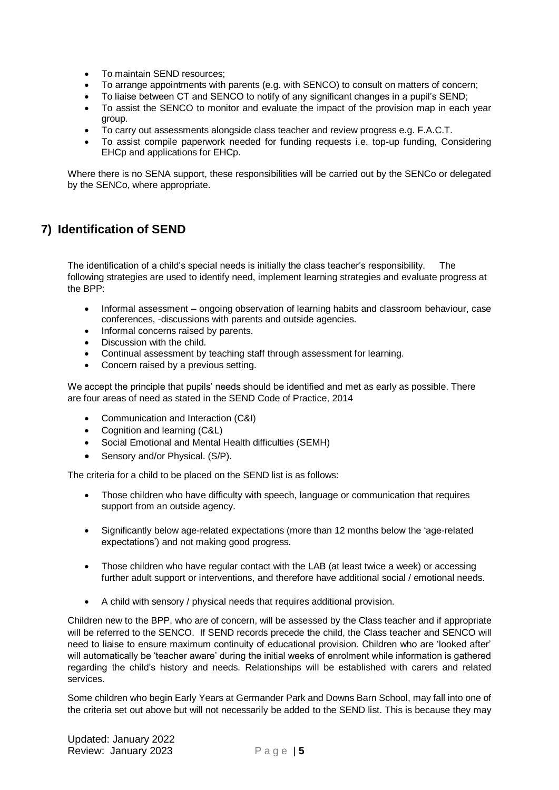- To maintain SEND resources;
- To arrange appointments with parents (e.g. with SENCO) to consult on matters of concern;
- To liaise between CT and SENCO to notify of any significant changes in a pupil's SEND;
- To assist the SENCO to monitor and evaluate the impact of the provision map in each year group.
- To carry out assessments alongside class teacher and review progress e.g. F.A.C.T.
- To assist compile paperwork needed for funding requests i.e. top-up funding, Considering EHCp and applications for EHCp.

Where there is no SENA support, these responsibilities will be carried out by the SENCo or delegated by the SENCo, where appropriate.

# **7) Identification of SEND**

The identification of a child's special needs is initially the class teacher's responsibility. The following strategies are used to identify need, implement learning strategies and evaluate progress at the BPP:

- Informal assessment ongoing observation of learning habits and classroom behaviour, case conferences, -discussions with parents and outside agencies.
- Informal concerns raised by parents.
- Discussion with the child.
- Continual assessment by teaching staff through assessment for learning.
- Concern raised by a previous setting.

We accept the principle that pupils' needs should be identified and met as early as possible. There are four areas of need as stated in the SEND Code of Practice, 2014

- Communication and Interaction (C&I)
- Cognition and learning (C&L)
- Social Emotional and Mental Health difficulties (SEMH)
- Sensory and/or Physical. (S/P).

The criteria for a child to be placed on the SEND list is as follows:

- Those children who have difficulty with speech, language or communication that requires support from an outside agency.
- Significantly below age-related expectations (more than 12 months below the 'age-related expectations') and not making good progress.
- Those children who have regular contact with the LAB (at least twice a week) or accessing further adult support or interventions, and therefore have additional social / emotional needs.
- A child with sensory / physical needs that requires additional provision.

Children new to the BPP, who are of concern, will be assessed by the Class teacher and if appropriate will be referred to the SENCO. If SEND records precede the child, the Class teacher and SENCO will need to liaise to ensure maximum continuity of educational provision. Children who are 'looked after' will automatically be 'teacher aware' during the initial weeks of enrolment while information is gathered regarding the child's history and needs. Relationships will be established with carers and related services.

Some children who begin Early Years at Germander Park and Downs Barn School, may fall into one of the criteria set out above but will not necessarily be added to the SEND list. This is because they may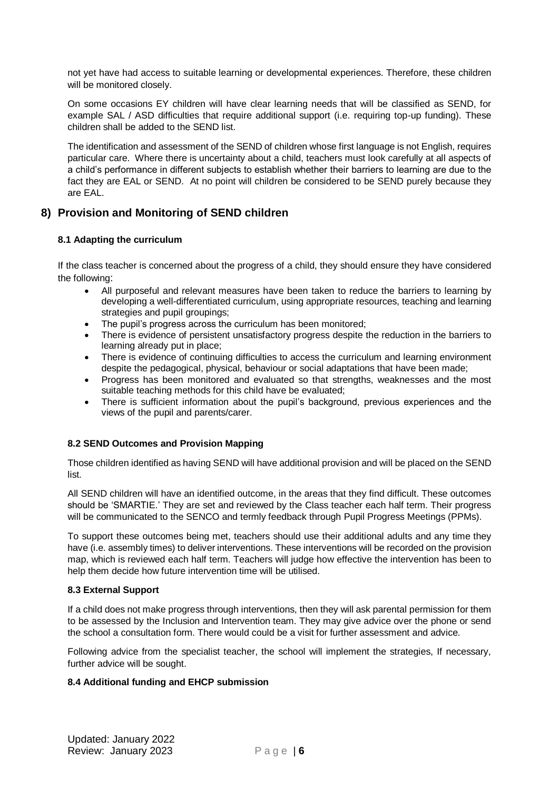not yet have had access to suitable learning or developmental experiences. Therefore, these children will be monitored closely.

On some occasions EY children will have clear learning needs that will be classified as SEND, for example SAL / ASD difficulties that require additional support (i.e. requiring top-up funding). These children shall be added to the SEND list.

The identification and assessment of the SEND of children whose first language is not English, requires particular care. Where there is uncertainty about a child, teachers must look carefully at all aspects of a child's performance in different subjects to establish whether their barriers to learning are due to the fact they are EAL or SEND. At no point will children be considered to be SEND purely because they are EAL.

### **8) Provision and Monitoring of SEND children**

### **8.1 Adapting the curriculum**

If the class teacher is concerned about the progress of a child, they should ensure they have considered the following:

- All purposeful and relevant measures have been taken to reduce the barriers to learning by developing a well-differentiated curriculum, using appropriate resources, teaching and learning strategies and pupil groupings;
- The pupil's progress across the curriculum has been monitored;
- There is evidence of persistent unsatisfactory progress despite the reduction in the barriers to learning already put in place;
- There is evidence of continuing difficulties to access the curriculum and learning environment despite the pedagogical, physical, behaviour or social adaptations that have been made;
- Progress has been monitored and evaluated so that strengths, weaknesses and the most suitable teaching methods for this child have be evaluated;
- There is sufficient information about the pupil's background, previous experiences and the views of the pupil and parents/carer.

### **8.2 SEND Outcomes and Provision Mapping**

Those children identified as having SEND will have additional provision and will be placed on the SEND list.

All SEND children will have an identified outcome, in the areas that they find difficult. These outcomes should be 'SMARTIE.' They are set and reviewed by the Class teacher each half term. Their progress will be communicated to the SENCO and termly feedback through Pupil Progress Meetings (PPMs).

To support these outcomes being met, teachers should use their additional adults and any time they have (i.e. assembly times) to deliver interventions. These interventions will be recorded on the provision map, which is reviewed each half term. Teachers will judge how effective the intervention has been to help them decide how future intervention time will be utilised.

### **8.3 External Support**

If a child does not make progress through interventions, then they will ask parental permission for them to be assessed by the Inclusion and Intervention team. They may give advice over the phone or send the school a consultation form. There would could be a visit for further assessment and advice.

Following advice from the specialist teacher, the school will implement the strategies, If necessary, further advice will be sought.

### **8.4 Additional funding and EHCP submission**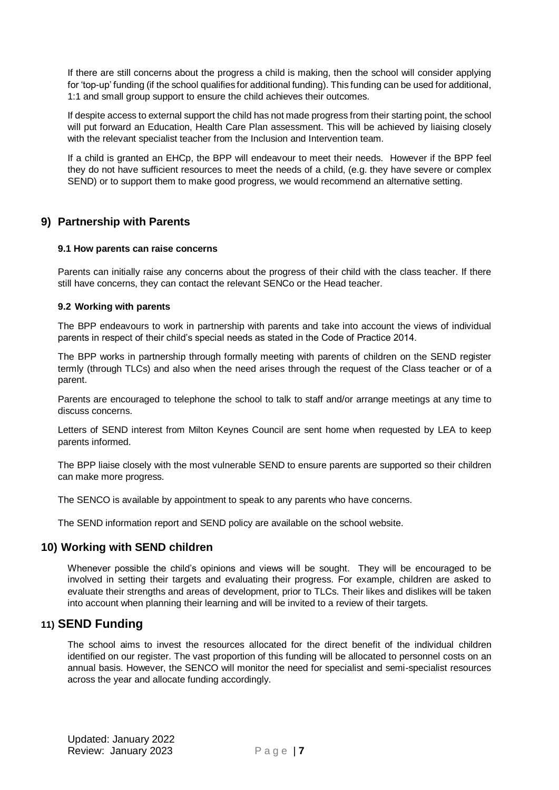If there are still concerns about the progress a child is making, then the school will consider applying for 'top-up' funding (if the school qualifies for additional funding). This funding can be used for additional, 1:1 and small group support to ensure the child achieves their outcomes.

If despite access to external support the child has not made progress from their starting point, the school will put forward an Education, Health Care Plan assessment. This will be achieved by liaising closely with the relevant specialist teacher from the Inclusion and Intervention team.

If a child is granted an EHCp, the BPP will endeavour to meet their needs. However if the BPP feel they do not have sufficient resources to meet the needs of a child, (e.g. they have severe or complex SEND) or to support them to make good progress, we would recommend an alternative setting.

### **9) Partnership with Parents**

#### **9.1 How parents can raise concerns**

Parents can initially raise any concerns about the progress of their child with the class teacher. If there still have concerns, they can contact the relevant SENCo or the Head teacher.

#### **9.2 Working with parents**

The BPP endeavours to work in partnership with parents and take into account the views of individual parents in respect of their child's special needs as stated in the Code of Practice 2014.

The BPP works in partnership through formally meeting with parents of children on the SEND register termly (through TLCs) and also when the need arises through the request of the Class teacher or of a parent.

Parents are encouraged to telephone the school to talk to staff and/or arrange meetings at any time to discuss concerns.

Letters of SEND interest from Milton Keynes Council are sent home when requested by LEA to keep parents informed.

The BPP liaise closely with the most vulnerable SEND to ensure parents are supported so their children can make more progress.

The SENCO is available by appointment to speak to any parents who have concerns.

The SEND information report and SEND policy are available on the school website.

### **10) Working with SEND children**

Whenever possible the child's opinions and views will be sought. They will be encouraged to be involved in setting their targets and evaluating their progress. For example, children are asked to evaluate their strengths and areas of development, prior to TLCs. Their likes and dislikes will be taken into account when planning their learning and will be invited to a review of their targets.

### **11) SEND Funding**

The school aims to invest the resources allocated for the direct benefit of the individual children identified on our register. The vast proportion of this funding will be allocated to personnel costs on an annual basis. However, the SENCO will monitor the need for specialist and semi-specialist resources across the year and allocate funding accordingly.